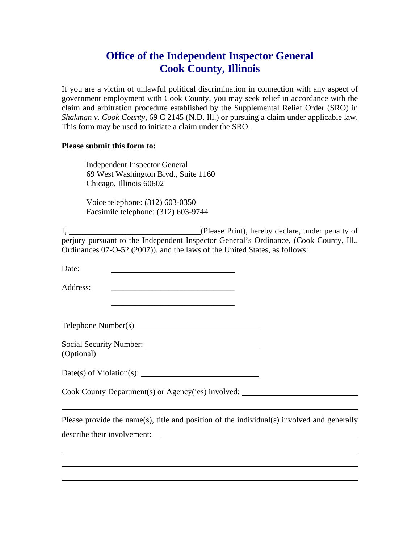## **Office of the Independent Inspector General Cook County, Illinois**

If you are a victim of unlawful political discrimination in connection with any aspect of government employment with Cook County, you may seek relief in accordance with the claim and arbitration procedure established by the Supplemental Relief Order (SRO) in *Shakman v. Cook County*, 69 C 2145 (N.D. Ill.) or pursuing a claim under applicable law. This form may be used to initiate a claim under the SRO.

## **Please submit this form to:**

 Independent Inspector General 69 West Washington Blvd., Suite 1160 Chicago, Illinois 60602

 Voice telephone: (312) 603-0350 Facsimile telephone: (312) 603-9744

I, \_\_\_\_\_\_\_\_\_\_\_\_\_\_\_\_\_\_\_\_\_\_\_\_\_\_\_\_\_\_\_\_(Please Print), hereby declare, under penalty of perjury pursuant to the Independent Inspector General's Ordinance, (Cook County, Ill., Ordinances 07-O-52 (2007)), and the laws of the United States, as follows:

Date:

Address: \_\_\_\_\_\_\_\_\_\_\_\_\_\_\_\_\_\_\_\_\_\_\_\_\_\_\_\_\_\_

| Telephone Number(s) |
|---------------------|
|---------------------|

 $\frac{1}{2}$  ,  $\frac{1}{2}$  ,  $\frac{1}{2}$  ,  $\frac{1}{2}$  ,  $\frac{1}{2}$  ,  $\frac{1}{2}$  ,  $\frac{1}{2}$  ,  $\frac{1}{2}$  ,  $\frac{1}{2}$  ,  $\frac{1}{2}$  ,  $\frac{1}{2}$  ,  $\frac{1}{2}$  ,  $\frac{1}{2}$  ,  $\frac{1}{2}$  ,  $\frac{1}{2}$  ,  $\frac{1}{2}$  ,  $\frac{1}{2}$  ,  $\frac{1}{2}$  ,  $\frac{1$ 

| Social Security Number: |  |
|-------------------------|--|
| (Optional)              |  |

Date(s) of Violation(s):

Cook County Department(s) or Agency(ies) involved:

 $\overline{a}$ 

 $\overline{a}$ 

Please provide the name(s), title and position of the individual(s) involved and generally describe their involvement: